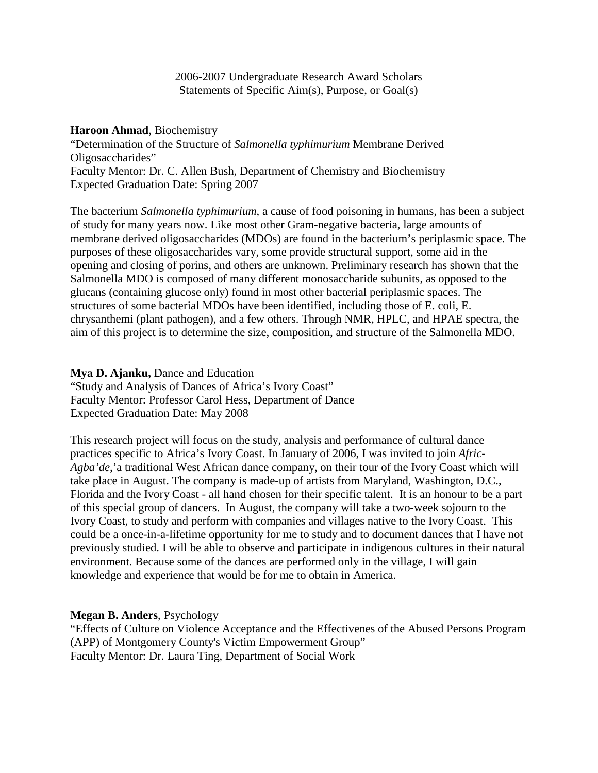2006-2007 Undergraduate Research Award Scholars Statements of Specific Aim(s), Purpose, or Goal(s)

#### **Haroon Ahmad**, Biochemistry

"Determination of the Structure of *Salmonella typhimurium* Membrane Derived Oligosaccharides" Faculty Mentor: Dr. C. Allen Bush, Department of Chemistry and Biochemistry Expected Graduation Date: Spring 2007

The bacterium *Salmonella typhimurium*, a cause of food poisoning in humans, has been a subject of study for many years now. Like most other Gram-negative bacteria, large amounts of membrane derived oligosaccharides (MDOs) are found in the bacterium's periplasmic space. The purposes of these oligosaccharides vary, some provide structural support, some aid in the opening and closing of porins, and others are unknown. Preliminary research has shown that the Salmonella MDO is composed of many different monosaccharide subunits, as opposed to the glucans (containing glucose only) found in most other bacterial periplasmic spaces. The structures of some bacterial MDOs have been identified, including those of E. coli, E. chrysanthemi (plant pathogen), and a few others. Through NMR, HPLC, and HPAE spectra, the aim of this project is to determine the size, composition, and structure of the Salmonella MDO.

**Mya D. Ajanku,** Dance and Education "Study and Analysis of Dances of Africa's Ivory Coast" Faculty Mentor: Professor Carol Hess, Department of Dance Expected Graduation Date: May 2008

This research project will focus on the study, analysis and performance of cultural dance practices specific to Africa's Ivory Coast. In January of 2006, I was invited to join *Afric-Agba'de*,'a traditional West African dance company, on their tour of the Ivory Coast which will take place in August. The company is made-up of artists from Maryland, Washington, D.C., Florida and the Ivory Coast - all hand chosen for their specific talent. It is an honour to be a part of this special group of dancers. In August, the company will take a two-week sojourn to the Ivory Coast, to study and perform with companies and villages native to the Ivory Coast. This could be a once-in-a-lifetime opportunity for me to study and to document dances that I have not previously studied. I will be able to observe and participate in indigenous cultures in their natural environment. Because some of the dances are performed only in the village, I will gain knowledge and experience that would be for me to obtain in America.

### **Megan B. Anders**, Psychology

"Effects of Culture on Violence Acceptance and the Effectivenes of the Abused Persons Program (APP) of Montgomery County's Victim Empowerment Group" Faculty Mentor: Dr. Laura Ting, Department of Social Work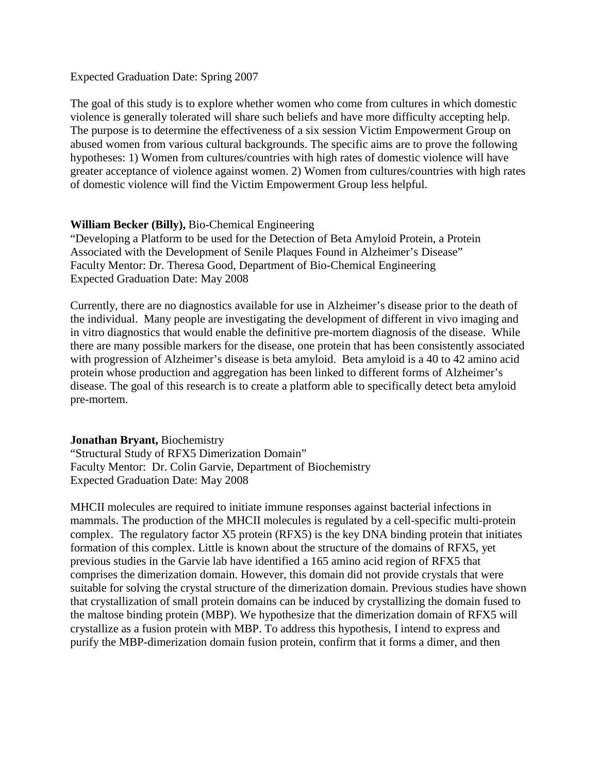#### Expected Graduation Date: Spring 2007

The goal of this study is to explore whether women who come from cultures in which domestic violence is generally tolerated will share such beliefs and have more difficulty accepting help. The purpose is to determine the effectiveness of a six session Victim Empowerment Group on abused women from various cultural backgrounds. The specific aims are to prove the following hypotheses: 1) Women from cultures/countries with high rates of domestic violence will have greater acceptance of violence against women. 2) Women from cultures/countries with high rates of domestic violence will find the Victim Empowerment Group less helpful.

### **William Becker (Billy),** Bio-Chemical Engineering

"Developing a Platform to be used for the Detection of Beta Amyloid Protein, a Protein Associated with the Development of Senile Plaques Found in Alzheimer's Disease" Faculty Mentor: Dr. Theresa Good, Department of Bio-Chemical Engineering Expected Graduation Date: May 2008

Currently, there are no diagnostics available for use in Alzheimer's disease prior to the death of the individual. Many people are investigating the development of different in vivo imaging and in vitro diagnostics that would enable the definitive pre-mortem diagnosis of the disease. While there are many possible markers for the disease, one protein that has been consistently associated with progression of Alzheimer's disease is beta amyloid. Beta amyloid is a 40 to 42 amino acid protein whose production and aggregation has been linked to different forms of Alzheimer's disease. The goal of this research is to create a platform able to specifically detect beta amyloid pre-mortem.

#### **Jonathan Bryant,** Biochemistry

"Structural Study of RFX5 Dimerization Domain" Faculty Mentor: Dr. Colin Garvie, Department of Biochemistry Expected Graduation Date: May 2008

MHCII molecules are required to initiate immune responses against bacterial infections in mammals. The production of the MHCII molecules is regulated by a cell-specific multi-protein complex. The regulatory factor X5 protein (RFX5) is the key DNA binding protein that initiates formation of this complex. Little is known about the structure of the domains of RFX5, yet previous studies in the Garvie lab have identified a 165 amino acid region of RFX5 that comprises the dimerization domain. However, this domain did not provide crystals that were suitable for solving the crystal structure of the dimerization domain. Previous studies have shown that crystallization of small protein domains can be induced by crystallizing the domain fused to the maltose binding protein (MBP). We hypothesize that the dimerization domain of RFX5 will crystallize as a fusion protein with MBP. To address this hypothesis, I intend to express and purify the MBP-dimerization domain fusion protein, confirm that it forms a dimer, and then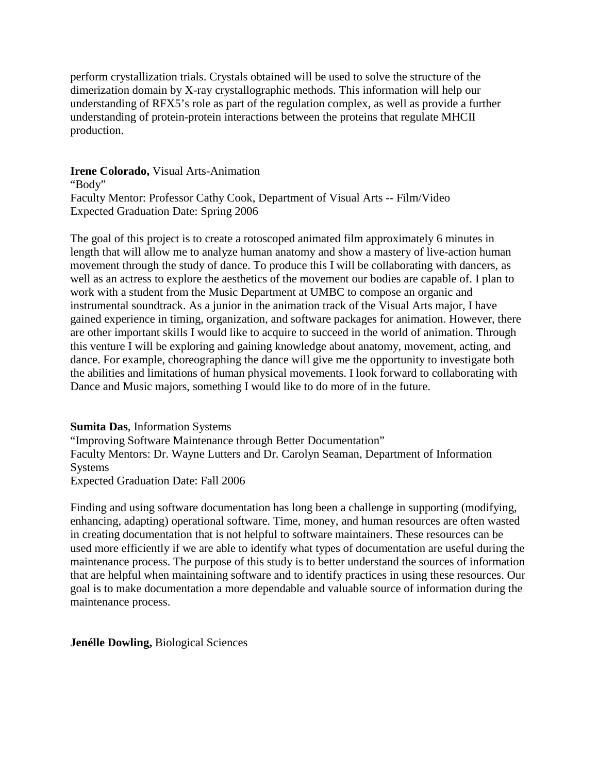perform crystallization trials. Crystals obtained will be used to solve the structure of the dimerization domain by X-ray crystallographic methods. This information will help our understanding of RFX5's role as part of the regulation complex, as well as provide a further understanding of protein-protein interactions between the proteins that regulate MHCII production.

**Irene Colorado,** Visual Arts-Animation

"Body" Faculty Mentor: Professor Cathy Cook, Department of Visual Arts -- Film/Video Expected Graduation Date: Spring 2006

The goal of this project is to create a rotoscoped animated film approximately 6 minutes in length that will allow me to analyze human anatomy and show a mastery of live-action human movement through the study of dance. To produce this I will be collaborating with dancers, as well as an actress to explore the aesthetics of the movement our bodies are capable of. I plan to work with a student from the Music Department at UMBC to compose an organic and instrumental soundtrack. As a junior in the animation track of the Visual Arts major, I have gained experience in timing, organization, and software packages for animation. However, there are other important skills I would like to acquire to succeed in the world of animation. Through this venture I will be exploring and gaining knowledge about anatomy, movement, acting, and dance. For example, choreographing the dance will give me the opportunity to investigate both the abilities and limitations of human physical movements. I look forward to collaborating with Dance and Music majors, something I would like to do more of in the future.

### **Sumita Das**, Information Systems

"Improving Software Maintenance through Better Documentation" Faculty Mentors: Dr. Wayne Lutters and Dr. Carolyn Seaman, Department of Information Systems Expected Graduation Date: Fall 2006

Finding and using software documentation has long been a challenge in supporting (modifying, enhancing, adapting) operational software. Time, money, and human resources are often wasted in creating documentation that is not helpful to software maintainers. These resources can be used more efficiently if we are able to identify what types of documentation are useful during the maintenance process. The purpose of this study is to better understand the sources of information that are helpful when maintaining software and to identify practices in using these resources. Our goal is to make documentation a more dependable and valuable source of information during the maintenance process.

**Jenélle Dowling,** Biological Sciences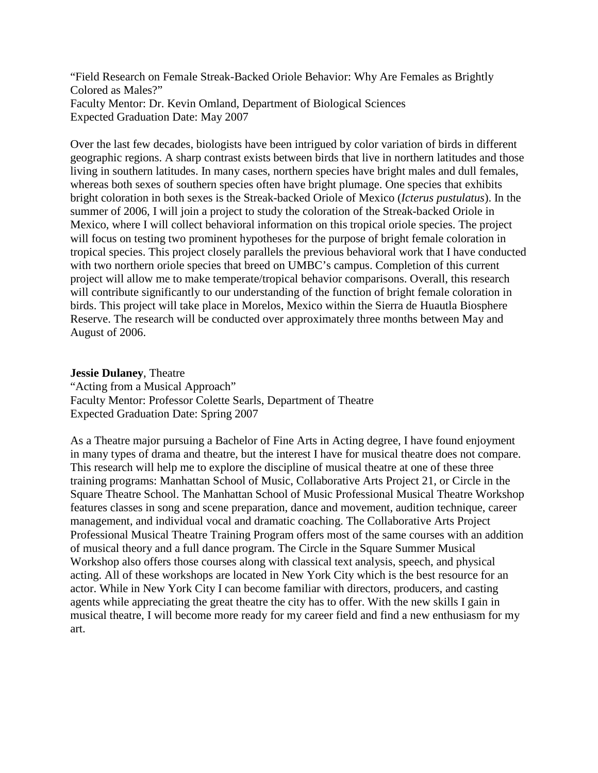"Field Research on Female Streak-Backed Oriole Behavior: Why Are Females as Brightly Colored as Males?" Faculty Mentor: Dr. Kevin Omland, Department of Biological Sciences Expected Graduation Date: May 2007

Over the last few decades, biologists have been intrigued by color variation of birds in different geographic regions. A sharp contrast exists between birds that live in northern latitudes and those living in southern latitudes. In many cases, northern species have bright males and dull females, whereas both sexes of southern species often have bright plumage. One species that exhibits bright coloration in both sexes is the Streak-backed Oriole of Mexico (*Icterus pustulatus*). In the summer of 2006, I will join a project to study the coloration of the Streak-backed Oriole in Mexico, where I will collect behavioral information on this tropical oriole species. The project will focus on testing two prominent hypotheses for the purpose of bright female coloration in tropical species. This project closely parallels the previous behavioral work that I have conducted with two northern oriole species that breed on UMBC's campus. Completion of this current project will allow me to make temperate/tropical behavior comparisons. Overall, this research will contribute significantly to our understanding of the function of bright female coloration in birds. This project will take place in Morelos, Mexico within the Sierra de Huautla Biosphere Reserve. The research will be conducted over approximately three months between May and August of 2006.

# **Jessie Dulaney**, Theatre "Acting from a Musical Approach" Faculty Mentor: Professor Colette Searls, Department of Theatre Expected Graduation Date: Spring 2007

As a Theatre major pursuing a Bachelor of Fine Arts in Acting degree, I have found enjoyment in many types of drama and theatre, but the interest I have for musical theatre does not compare. This research will help me to explore the discipline of musical theatre at one of these three training programs: Manhattan School of Music, Collaborative Arts Project 21, or Circle in the Square Theatre School. The Manhattan School of Music Professional Musical Theatre Workshop features classes in song and scene preparation, dance and movement, audition technique, career management, and individual vocal and dramatic coaching. The Collaborative Arts Project Professional Musical Theatre Training Program offers most of the same courses with an addition of musical theory and a full dance program. The Circle in the Square Summer Musical Workshop also offers those courses along with classical text analysis, speech, and physical acting. All of these workshops are located in New York City which is the best resource for an actor. While in New York City I can become familiar with directors, producers, and casting agents while appreciating the great theatre the city has to offer. With the new skills I gain in musical theatre, I will become more ready for my career field and find a new enthusiasm for my art.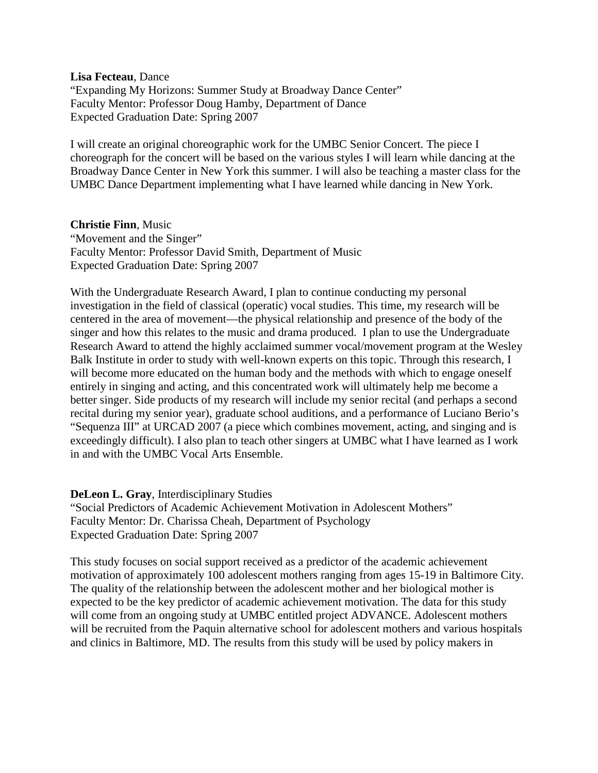**Lisa Fecteau**, Dance

"Expanding My Horizons: Summer Study at Broadway Dance Center" Faculty Mentor: Professor Doug Hamby, Department of Dance Expected Graduation Date: Spring 2007

I will create an original choreographic work for the UMBC Senior Concert. The piece I choreograph for the concert will be based on the various styles I will learn while dancing at the Broadway Dance Center in New York this summer. I will also be teaching a master class for the UMBC Dance Department implementing what I have learned while dancing in New York.

### **Christie Finn**, Music

"Movement and the Singer" Faculty Mentor: Professor David Smith, Department of Music Expected Graduation Date: Spring 2007

With the Undergraduate Research Award, I plan to continue conducting my personal investigation in the field of classical (operatic) vocal studies. This time, my research will be centered in the area of movement—the physical relationship and presence of the body of the singer and how this relates to the music and drama produced. I plan to use the Undergraduate Research Award to attend the highly acclaimed summer vocal/movement program at the Wesley Balk Institute in order to study with well-known experts on this topic. Through this research, I will become more educated on the human body and the methods with which to engage oneself entirely in singing and acting, and this concentrated work will ultimately help me become a better singer. Side products of my research will include my senior recital (and perhaps a second recital during my senior year), graduate school auditions, and a performance of Luciano Berio's "Sequenza III" at URCAD 2007 (a piece which combines movement, acting, and singing and is exceedingly difficult). I also plan to teach other singers at UMBC what I have learned as I work in and with the UMBC Vocal Arts Ensemble.

### **DeLeon L. Gray**, Interdisciplinary Studies

"Social Predictors of Academic Achievement Motivation in Adolescent Mothers" Faculty Mentor: Dr. Charissa Cheah, Department of Psychology Expected Graduation Date: Spring 2007

This study focuses on social support received as a predictor of the academic achievement motivation of approximately 100 adolescent mothers ranging from ages 15-19 in Baltimore City. The quality of the relationship between the adolescent mother and her biological mother is expected to be the key predictor of academic achievement motivation. The data for this study will come from an ongoing study at UMBC entitled project ADVANCE. Adolescent mothers will be recruited from the Paquin alternative school for adolescent mothers and various hospitals and clinics in Baltimore, MD. The results from this study will be used by policy makers in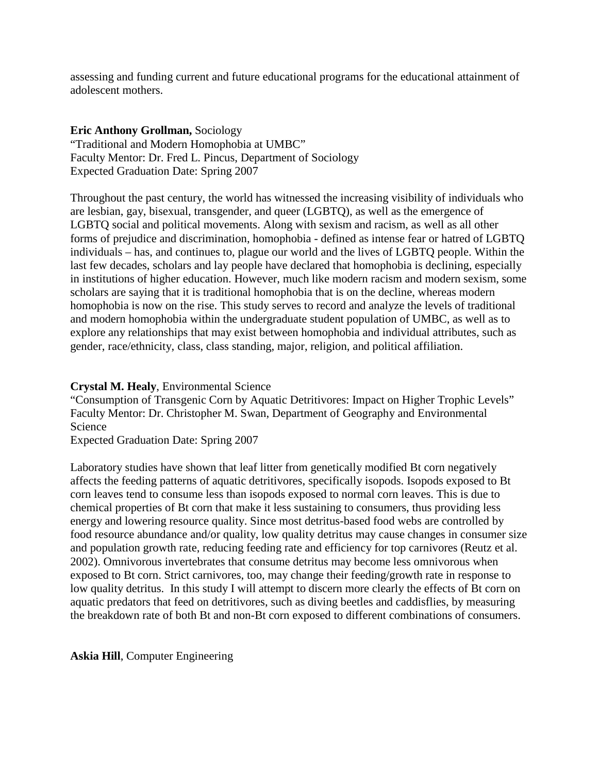assessing and funding current and future educational programs for the educational attainment of adolescent mothers.

## **Eric Anthony Grollman,** Sociology

"Traditional and Modern Homophobia at UMBC" Faculty Mentor: Dr. Fred L. Pincus, Department of Sociology Expected Graduation Date: Spring 2007

Throughout the past century, the world has witnessed the increasing visibility of individuals who are lesbian, gay, bisexual, transgender, and queer (LGBTQ), as well as the emergence of LGBTQ social and political movements. Along with sexism and racism, as well as all other forms of prejudice and discrimination, homophobia - defined as intense fear or hatred of LGBTQ individuals – has, and continues to, plague our world and the lives of LGBTQ people. Within the last few decades, scholars and lay people have declared that homophobia is declining, especially in institutions of higher education. However, much like modern racism and modern sexism, some scholars are saying that it is traditional homophobia that is on the decline, whereas modern homophobia is now on the rise. This study serves to record and analyze the levels of traditional and modern homophobia within the undergraduate student population of UMBC, as well as to explore any relationships that may exist between homophobia and individual attributes, such as gender, race/ethnicity, class, class standing, major, religion, and political affiliation.

### **Crystal M. Healy**, Environmental Science

"Consumption of Transgenic Corn by Aquatic Detritivores: Impact on Higher Trophic Levels" Faculty Mentor: Dr. Christopher M. Swan, Department of Geography and Environmental Science

Expected Graduation Date: Spring 2007

Laboratory studies have shown that leaf litter from genetically modified Bt corn negatively affects the feeding patterns of aquatic detritivores, specifically isopods. Isopods exposed to Bt corn leaves tend to consume less than isopods exposed to normal corn leaves. This is due to chemical properties of Bt corn that make it less sustaining to consumers, thus providing less energy and lowering resource quality. Since most detritus-based food webs are controlled by food resource abundance and/or quality, low quality detritus may cause changes in consumer size and population growth rate, reducing feeding rate and efficiency for top carnivores (Reutz et al. 2002). Omnivorous invertebrates that consume detritus may become less omnivorous when exposed to Bt corn. Strict carnivores, too, may change their feeding/growth rate in response to low quality detritus. In this study I will attempt to discern more clearly the effects of Bt corn on aquatic predators that feed on detritivores, such as diving beetles and caddisflies, by measuring the breakdown rate of both Bt and non-Bt corn exposed to different combinations of consumers.

**Askia Hill**, Computer Engineering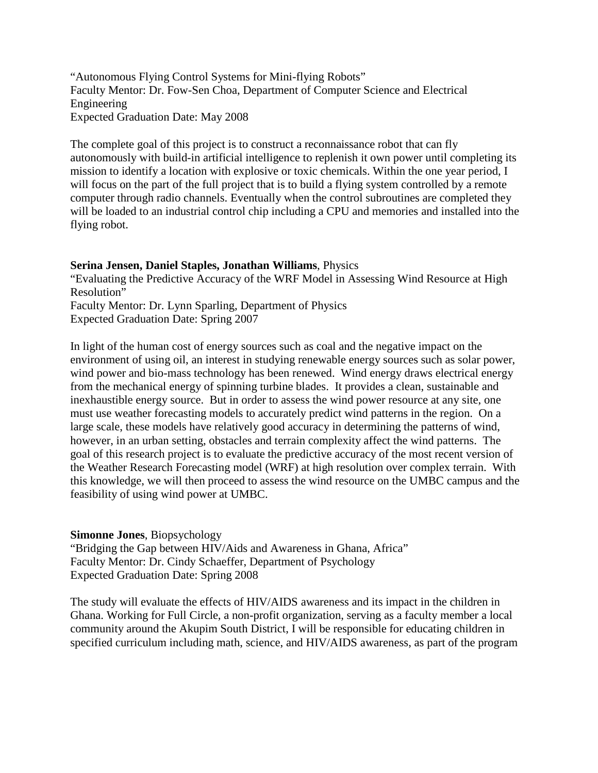"Autonomous Flying Control Systems for Mini-flying Robots" Faculty Mentor: Dr. Fow-Sen Choa, Department of Computer Science and Electrical Engineering Expected Graduation Date: May 2008

The complete goal of this project is to construct a reconnaissance robot that can fly autonomously with build-in artificial intelligence to replenish it own power until completing its mission to identify a location with explosive or toxic chemicals. Within the one year period, I will focus on the part of the full project that is to build a flying system controlled by a remote computer through radio channels. Eventually when the control subroutines are completed they will be loaded to an industrial control chip including a CPU and memories and installed into the flying robot.

#### **Serina Jensen, Daniel Staples, Jonathan Williams**, Physics

"Evaluating the Predictive Accuracy of the WRF Model in Assessing Wind Resource at High Resolution"

Faculty Mentor: Dr. Lynn Sparling, Department of Physics Expected Graduation Date: Spring 2007

In light of the human cost of energy sources such as coal and the negative impact on the environment of using oil, an interest in studying renewable energy sources such as solar power, wind power and bio-mass technology has been renewed. Wind energy draws electrical energy from the mechanical energy of spinning turbine blades. It provides a clean, sustainable and inexhaustible energy source. But in order to assess the wind power resource at any site, one must use weather forecasting models to accurately predict wind patterns in the region. On a large scale, these models have relatively good accuracy in determining the patterns of wind, however, in an urban setting, obstacles and terrain complexity affect the wind patterns. The goal of this research project is to evaluate the predictive accuracy of the most recent version of the Weather Research Forecasting model (WRF) at high resolution over complex terrain. With this knowledge, we will then proceed to assess the wind resource on the UMBC campus and the feasibility of using wind power at UMBC.

### **Simonne Jones**, Biopsychology

"Bridging the Gap between HIV/Aids and Awareness in Ghana, Africa" Faculty Mentor: Dr. Cindy Schaeffer, Department of Psychology Expected Graduation Date: Spring 2008

The study will evaluate the effects of HIV/AIDS awareness and its impact in the children in Ghana. Working for Full Circle, a non-profit organization, serving as a faculty member a local community around the Akupim South District, I will be responsible for educating children in specified curriculum including math, science, and HIV/AIDS awareness, as part of the program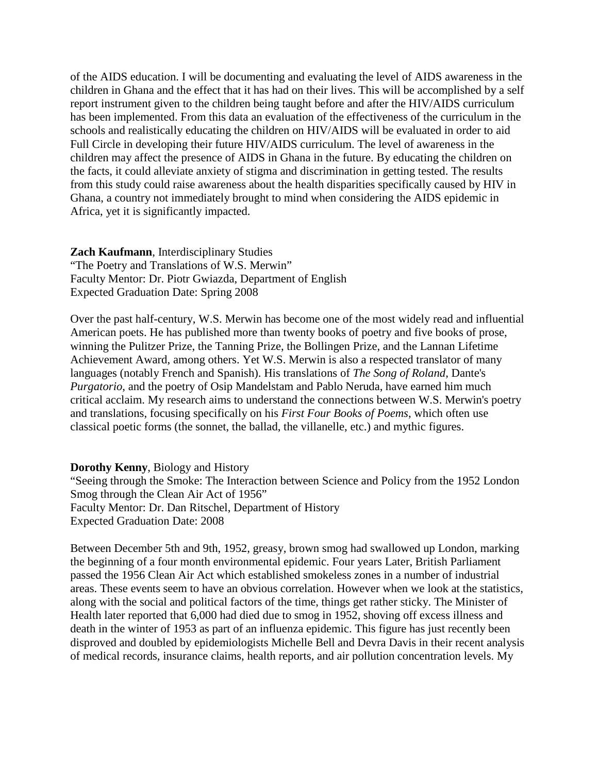of the AIDS education. I will be documenting and evaluating the level of AIDS awareness in the children in Ghana and the effect that it has had on their lives. This will be accomplished by a self report instrument given to the children being taught before and after the HIV/AIDS curriculum has been implemented. From this data an evaluation of the effectiveness of the curriculum in the schools and realistically educating the children on HIV/AIDS will be evaluated in order to aid Full Circle in developing their future HIV/AIDS curriculum. The level of awareness in the children may affect the presence of AIDS in Ghana in the future. By educating the children on the facts, it could alleviate anxiety of stigma and discrimination in getting tested. The results from this study could raise awareness about the health disparities specifically caused by HIV in Ghana, a country not immediately brought to mind when considering the AIDS epidemic in Africa, yet it is significantly impacted.

**Zach Kaufmann**, Interdisciplinary Studies "The Poetry and Translations of W.S. Merwin" Faculty Mentor: Dr. Piotr Gwiazda, Department of English Expected Graduation Date: Spring 2008

Over the past half-century, W.S. Merwin has become one of the most widely read and influential American poets. He has published more than twenty books of poetry and five books of prose, winning the Pulitzer Prize, the Tanning Prize, the Bollingen Prize, and the Lannan Lifetime Achievement Award, among others. Yet W.S. Merwin is also a respected translator of many languages (notably French and Spanish). His translations of *The Song of Roland*, Dante's *Purgatorio*, and the poetry of Osip Mandelstam and Pablo Neruda, have earned him much critical acclaim. My research aims to understand the connections between W.S. Merwin's poetry and translations, focusing specifically on his *First Four Books of Poems*, which often use classical poetic forms (the sonnet, the ballad, the villanelle, etc.) and mythic figures.

**Dorothy Kenny**, Biology and History

"Seeing through the Smoke: The Interaction between Science and Policy from the 1952 London Smog through the Clean Air Act of 1956" Faculty Mentor: Dr. Dan Ritschel, Department of History Expected Graduation Date: 2008

Between December 5th and 9th, 1952, greasy, brown smog had swallowed up London, marking the beginning of a four month environmental epidemic. Four years Later, British Parliament passed the 1956 Clean Air Act which established smokeless zones in a number of industrial areas. These events seem to have an obvious correlation. However when we look at the statistics, along with the social and political factors of the time, things get rather sticky. The Minister of Health later reported that 6,000 had died due to smog in 1952, shoving off excess illness and death in the winter of 1953 as part of an influenza epidemic. This figure has just recently been disproved and doubled by epidemiologists Michelle Bell and Devra Davis in their recent analysis of medical records, insurance claims, health reports, and air pollution concentration levels. My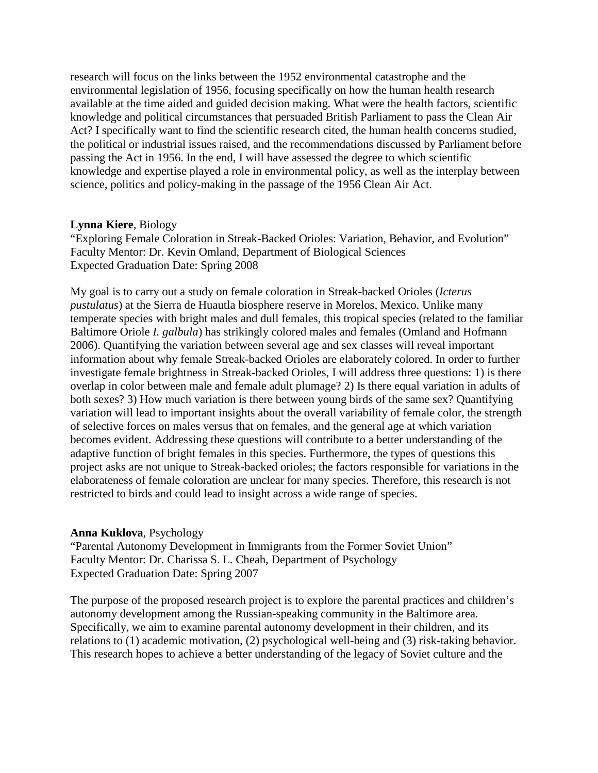research will focus on the links between the 1952 environmental catastrophe and the environmental legislation of 1956, focusing specifically on how the human health research available at the time aided and guided decision making. What were the health factors, scientific knowledge and political circumstances that persuaded British Parliament to pass the Clean Air Act? I specifically want to find the scientific research cited, the human health concerns studied, the political or industrial issues raised, and the recommendations discussed by Parliament before passing the Act in 1956. In the end, I will have assessed the degree to which scientific knowledge and expertise played a role in environmental policy, as well as the interplay between science, politics and policy-making in the passage of the 1956 Clean Air Act.

### **Lynna Kiere**, Biology

"Exploring Female Coloration in Streak-Backed Orioles: Variation, Behavior, and Evolution" Faculty Mentor: Dr. Kevin Omland, Department of Biological Sciences Expected Graduation Date: Spring 2008

My goal is to carry out a study on female coloration in Streak-backed Orioles (*Icterus pustulatus*) at the Sierra de Huautla biosphere reserve in Morelos, Mexico. Unlike many temperate species with bright males and dull females, this tropical species (related to the familiar Baltimore Oriole *I. galbula*) has strikingly colored males and females (Omland and Hofmann 2006). Quantifying the variation between several age and sex classes will reveal important information about why female Streak-backed Orioles are elaborately colored. In order to further investigate female brightness in Streak-backed Orioles, I will address three questions: 1) is there overlap in color between male and female adult plumage? 2) Is there equal variation in adults of both sexes? 3) How much variation is there between young birds of the same sex? Quantifying variation will lead to important insights about the overall variability of female color, the strength of selective forces on males versus that on females, and the general age at which variation becomes evident. Addressing these questions will contribute to a better understanding of the adaptive function of bright females in this species. Furthermore, the types of questions this project asks are not unique to Streak-backed orioles; the factors responsible for variations in the elaborateness of female coloration are unclear for many species. Therefore, this research is not restricted to birds and could lead to insight across a wide range of species.

### **Anna Kuklova**, Psychology

"Parental Autonomy Development in Immigrants from the Former Soviet Union" Faculty Mentor: Dr. Charissa S. L. Cheah, Department of Psychology Expected Graduation Date: Spring 2007

The purpose of the proposed research project is to explore the parental practices and children's autonomy development among the Russian-speaking community in the Baltimore area. Specifically, we aim to examine parental autonomy development in their children, and its relations to (1) academic motivation, (2) psychological well-being and (3) risk-taking behavior. This research hopes to achieve a better understanding of the legacy of Soviet culture and the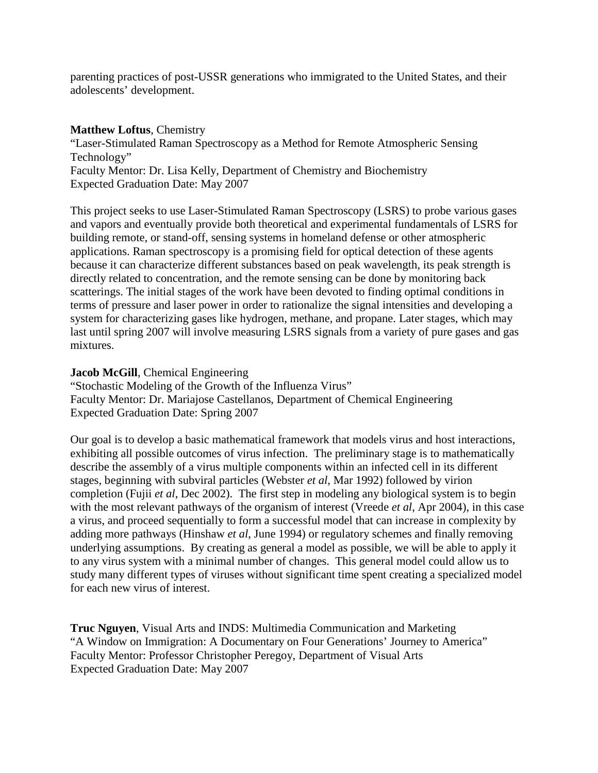parenting practices of post-USSR generations who immigrated to the United States, and their adolescents' development.

#### **Matthew Loftus**, Chemistry

"Laser-Stimulated Raman Spectroscopy as a Method for Remote Atmospheric Sensing Technology" Faculty Mentor: Dr. Lisa Kelly, Department of Chemistry and Biochemistry Expected Graduation Date: May 2007

This project seeks to use Laser-Stimulated Raman Spectroscopy (LSRS) to probe various gases and vapors and eventually provide both theoretical and experimental fundamentals of LSRS for building remote, or stand-off, sensing systems in homeland defense or other atmospheric applications. Raman spectroscopy is a promising field for optical detection of these agents because it can characterize different substances based on peak wavelength, its peak strength is directly related to concentration, and the remote sensing can be done by monitoring back scatterings. The initial stages of the work have been devoted to finding optimal conditions in terms of pressure and laser power in order to rationalize the signal intensities and developing a system for characterizing gases like hydrogen, methane, and propane. Later stages, which may last until spring 2007 will involve measuring LSRS signals from a variety of pure gases and gas mixtures.

#### **Jacob McGill**, Chemical Engineering

"Stochastic Modeling of the Growth of the Influenza Virus" Faculty Mentor: Dr. Mariajose Castellanos, Department of Chemical Engineering Expected Graduation Date: Spring 2007

Our goal is to develop a basic mathematical framework that models virus and host interactions, exhibiting all possible outcomes of virus infection. The preliminary stage is to mathematically describe the assembly of a virus multiple components within an infected cell in its different stages, beginning with subviral particles (Webster *et al*, Mar 1992) followed by virion completion (Fujii *et al*, Dec 2002). The first step in modeling any biological system is to begin with the most relevant pathways of the organism of interest (Vreede *et al*, Apr 2004), in this case a virus, and proceed sequentially to form a successful model that can increase in complexity by adding more pathways (Hinshaw *et al*, June 1994) or regulatory schemes and finally removing underlying assumptions. By creating as general a model as possible, we will be able to apply it to any virus system with a minimal number of changes. This general model could allow us to study many different types of viruses without significant time spent creating a specialized model for each new virus of interest.

**Truc Nguyen**, Visual Arts and INDS: Multimedia Communication and Marketing "A Window on Immigration: A Documentary on Four Generations' Journey to America" Faculty Mentor: Professor Christopher Peregoy, Department of Visual Arts Expected Graduation Date: May 2007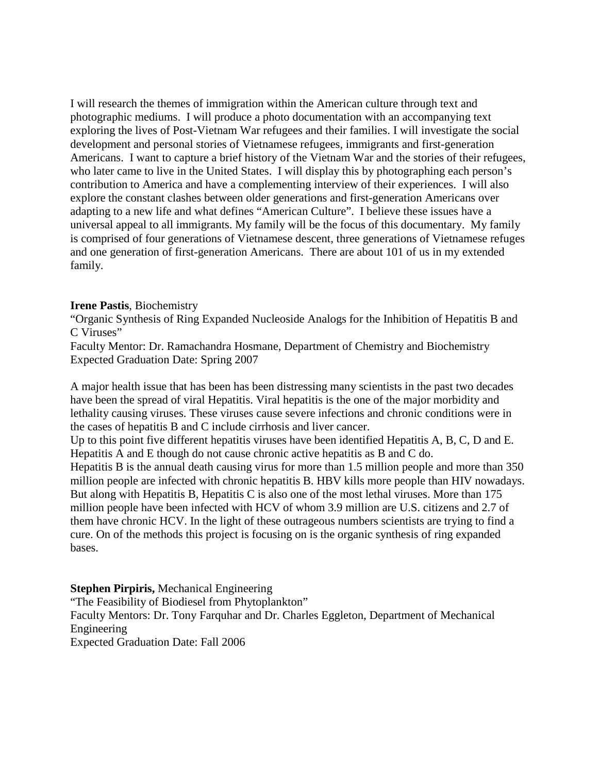I will research the themes of immigration within the American culture through text and photographic mediums. I will produce a photo documentation with an accompanying text exploring the lives of Post-Vietnam War refugees and their families. I will investigate the social development and personal stories of Vietnamese refugees, immigrants and first-generation Americans. I want to capture a brief history of the Vietnam War and the stories of their refugees, who later came to live in the United States. I will display this by photographing each person's contribution to America and have a complementing interview of their experiences. I will also explore the constant clashes between older generations and first-generation Americans over adapting to a new life and what defines "American Culture". I believe these issues have a universal appeal to all immigrants. My family will be the focus of this documentary. My family is comprised of four generations of Vietnamese descent, three generations of Vietnamese refuges and one generation of first-generation Americans. There are about 101 of us in my extended family.

#### **Irene Pastis**, Biochemistry

"Organic Synthesis of Ring Expanded Nucleoside Analogs for the Inhibition of Hepatitis B and C Viruses"

Faculty Mentor: Dr. Ramachandra Hosmane, Department of Chemistry and Biochemistry Expected Graduation Date: Spring 2007

A major health issue that has been has been distressing many scientists in the past two decades have been the spread of viral Hepatitis. Viral hepatitis is the one of the major morbidity and lethality causing viruses. These viruses cause severe infections and chronic conditions were in the cases of hepatitis B and C include cirrhosis and liver cancer.

Up to this point five different hepatitis viruses have been identified Hepatitis A, B, C, D and E. Hepatitis A and E though do not cause chronic active hepatitis as B and C do.

Hepatitis B is the annual death causing virus for more than 1.5 million people and more than 350 million people are infected with chronic hepatitis B. HBV kills more people than HIV nowadays. But along with Hepatitis B, Hepatitis C is also one of the most lethal viruses. More than 175 million people have been infected with HCV of whom 3.9 million are U.S. citizens and 2.7 of them have chronic HCV. In the light of these outrageous numbers scientists are trying to find a cure. On of the methods this project is focusing on is the organic synthesis of ring expanded bases.

### **Stephen Pirpiris,** Mechanical Engineering

"The Feasibility of Biodiesel from Phytoplankton" Faculty Mentors: Dr. Tony Farquhar and Dr. Charles Eggleton, Department of Mechanical Engineering Expected Graduation Date: Fall 2006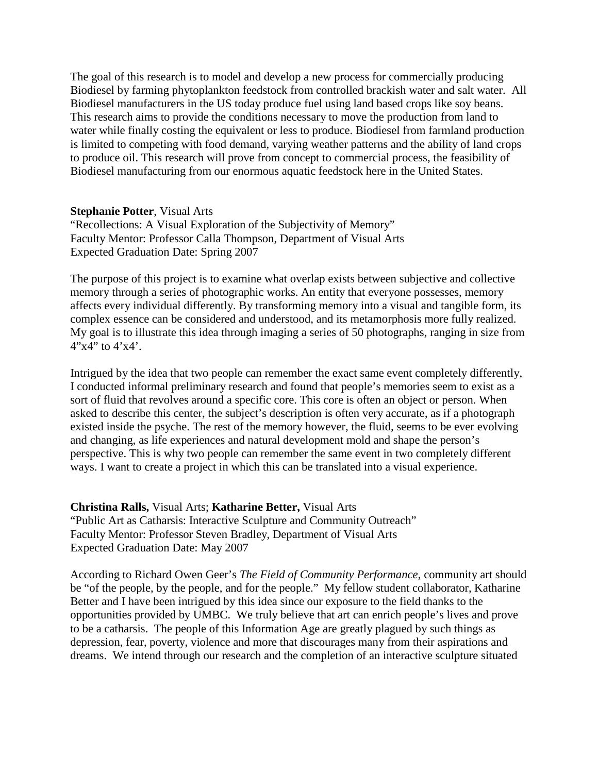The goal of this research is to model and develop a new process for commercially producing Biodiesel by farming phytoplankton feedstock from controlled brackish water and salt water. All Biodiesel manufacturers in the US today produce fuel using land based crops like soy beans. This research aims to provide the conditions necessary to move the production from land to water while finally costing the equivalent or less to produce. Biodiesel from farmland production is limited to competing with food demand, varying weather patterns and the ability of land crops to produce oil. This research will prove from concept to commercial process, the feasibility of Biodiesel manufacturing from our enormous aquatic feedstock here in the United States.

### **Stephanie Potter**, Visual Arts

"Recollections: A Visual Exploration of the Subjectivity of Memory" Faculty Mentor: Professor Calla Thompson, Department of Visual Arts Expected Graduation Date: Spring 2007

The purpose of this project is to examine what overlap exists between subjective and collective memory through a series of photographic works. An entity that everyone possesses, memory affects every individual differently. By transforming memory into a visual and tangible form, its complex essence can be considered and understood, and its metamorphosis more fully realized. My goal is to illustrate this idea through imaging a series of 50 photographs, ranging in size from  $4"x4"$  to  $4'x4'$ .

Intrigued by the idea that two people can remember the exact same event completely differently, I conducted informal preliminary research and found that people's memories seem to exist as a sort of fluid that revolves around a specific core. This core is often an object or person. When asked to describe this center, the subject's description is often very accurate, as if a photograph existed inside the psyche. The rest of the memory however, the fluid, seems to be ever evolving and changing, as life experiences and natural development mold and shape the person's perspective. This is why two people can remember the same event in two completely different ways. I want to create a project in which this can be translated into a visual experience.

**Christina Ralls,** Visual Arts; **Katharine Better,** Visual Arts

"Public Art as Catharsis: Interactive Sculpture and Community Outreach" Faculty Mentor: Professor Steven Bradley, Department of Visual Arts Expected Graduation Date: May 2007

According to Richard Owen Geer's *The Field of Community Performance*, community art should be "of the people, by the people, and for the people." My fellow student collaborator, Katharine Better and I have been intrigued by this idea since our exposure to the field thanks to the opportunities provided by UMBC. We truly believe that art can enrich people's lives and prove to be a catharsis. The people of this Information Age are greatly plagued by such things as depression, fear, poverty, violence and more that discourages many from their aspirations and dreams. We intend through our research and the completion of an interactive sculpture situated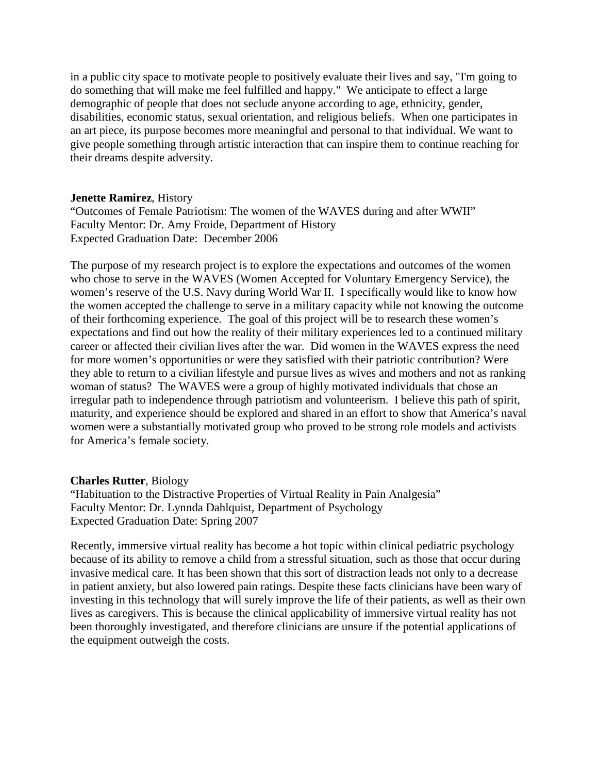in a public city space to motivate people to positively evaluate their lives and say, "I'm going to do something that will make me feel fulfilled and happy." We anticipate to effect a large demographic of people that does not seclude anyone according to age, ethnicity, gender, disabilities, economic status, sexual orientation, and religious beliefs. When one participates in an art piece, its purpose becomes more meaningful and personal to that individual. We want to give people something through artistic interaction that can inspire them to continue reaching for their dreams despite adversity.

#### **Jenette Ramirez**, History

"Outcomes of Female Patriotism: The women of the WAVES during and after WWII" Faculty Mentor: Dr. Amy Froide, Department of History Expected Graduation Date: December 2006

The purpose of my research project is to explore the expectations and outcomes of the women who chose to serve in the WAVES (Women Accepted for Voluntary Emergency Service), the women's reserve of the U.S. Navy during World War II. I specifically would like to know how the women accepted the challenge to serve in a military capacity while not knowing the outcome of their forthcoming experience. The goal of this project will be to research these women's expectations and find out how the reality of their military experiences led to a continued military career or affected their civilian lives after the war. Did women in the WAVES express the need for more women's opportunities or were they satisfied with their patriotic contribution? Were they able to return to a civilian lifestyle and pursue lives as wives and mothers and not as ranking woman of status? The WAVES were a group of highly motivated individuals that chose an irregular path to independence through patriotism and volunteerism. I believe this path of spirit, maturity, and experience should be explored and shared in an effort to show that America's naval women were a substantially motivated group who proved to be strong role models and activists for America's female society.

### **Charles Rutter**, Biology

"Habituation to the Distractive Properties of Virtual Reality in Pain Analgesia" Faculty Mentor: Dr. Lynnda Dahlquist, Department of Psychology Expected Graduation Date: Spring 2007

Recently, immersive virtual reality has become a hot topic within clinical pediatric psychology because of its ability to remove a child from a stressful situation, such as those that occur during invasive medical care. It has been shown that this sort of distraction leads not only to a decrease in patient anxiety, but also lowered pain ratings. Despite these facts clinicians have been wary of investing in this technology that will surely improve the life of their patients, as well as their own lives as caregivers. This is because the clinical applicability of immersive virtual reality has not been thoroughly investigated, and therefore clinicians are unsure if the potential applications of the equipment outweigh the costs.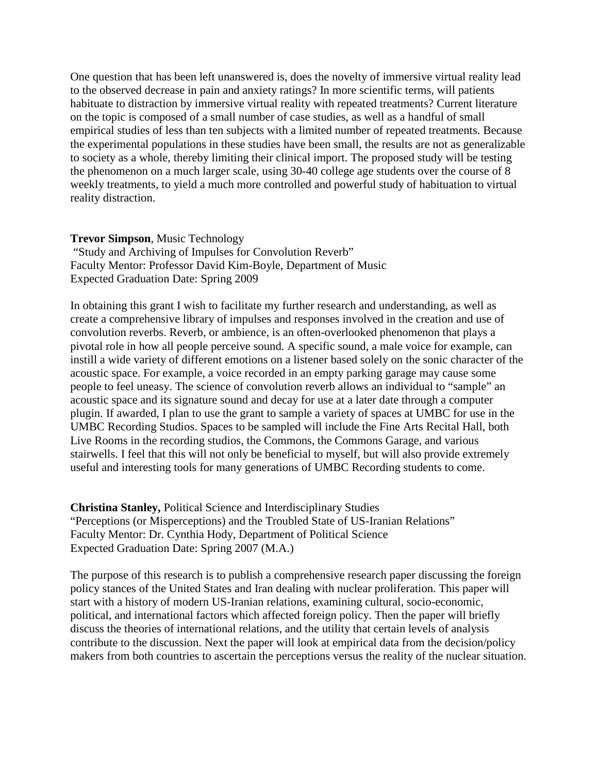One question that has been left unanswered is, does the novelty of immersive virtual reality lead to the observed decrease in pain and anxiety ratings? In more scientific terms, will patients habituate to distraction by immersive virtual reality with repeated treatments? Current literature on the topic is composed of a small number of case studies, as well as a handful of small empirical studies of less than ten subjects with a limited number of repeated treatments. Because the experimental populations in these studies have been small, the results are not as generalizable to society as a whole, thereby limiting their clinical import. The proposed study will be testing the phenomenon on a much larger scale, using 30-40 college age students over the course of 8 weekly treatments, to yield a much more controlled and powerful study of habituation to virtual reality distraction.

#### **Trevor Simpson**, Music Technology

"Study and Archiving of Impulses for Convolution Reverb" Faculty Mentor: Professor David Kim-Boyle, Department of Music Expected Graduation Date: Spring 2009

In obtaining this grant I wish to facilitate my further research and understanding, as well as create a comprehensive library of impulses and responses involved in the creation and use of convolution reverbs. Reverb, or ambience, is an often-overlooked phenomenon that plays a pivotal role in how all people perceive sound. A specific sound, a male voice for example, can instill a wide variety of different emotions on a listener based solely on the sonic character of the acoustic space. For example, a voice recorded in an empty parking garage may cause some people to feel uneasy. The science of convolution reverb allows an individual to "sample" an acoustic space and its signature sound and decay for use at a later date through a computer plugin. If awarded, I plan to use the grant to sample a variety of spaces at UMBC for use in the UMBC Recording Studios. Spaces to be sampled will include the Fine Arts Recital Hall, both Live Rooms in the recording studios, the Commons, the Commons Garage, and various stairwells. I feel that this will not only be beneficial to myself, but will also provide extremely useful and interesting tools for many generations of UMBC Recording students to come.

**Christina Stanley,** Political Science and Interdisciplinary Studies "Perceptions (or Misperceptions) and the Troubled State of US-Iranian Relations" Faculty Mentor: Dr. Cynthia Hody, Department of Political Science Expected Graduation Date: Spring 2007 (M.A.)

The purpose of this research is to publish a comprehensive research paper discussing the foreign policy stances of the United States and Iran dealing with nuclear proliferation. This paper will start with a history of modern US-Iranian relations, examining cultural, socio-economic, political, and international factors which affected foreign policy. Then the paper will briefly discuss the theories of international relations, and the utility that certain levels of analysis contribute to the discussion. Next the paper will look at empirical data from the decision/policy makers from both countries to ascertain the perceptions versus the reality of the nuclear situation.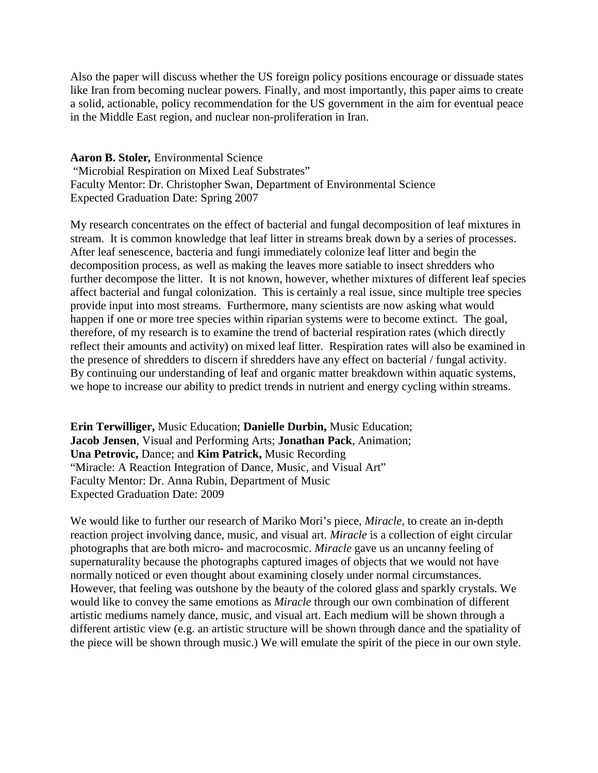Also the paper will discuss whether the US foreign policy positions encourage or dissuade states like Iran from becoming nuclear powers. Finally, and most importantly, this paper aims to create a solid, actionable, policy recommendation for the US government in the aim for eventual peace in the Middle East region, and nuclear non-proliferation in Iran.

**Aaron B. Stoler***,* Environmental Science "Microbial Respiration on Mixed Leaf Substrates" Faculty Mentor: Dr. Christopher Swan, Department of Environmental Science Expected Graduation Date: Spring 2007

My research concentrates on the effect of bacterial and fungal decomposition of leaf mixtures in stream. It is common knowledge that leaf litter in streams break down by a series of processes. After leaf senescence, bacteria and fungi immediately colonize leaf litter and begin the decomposition process, as well as making the leaves more satiable to insect shredders who further decompose the litter. It is not known, however, whether mixtures of different leaf species affect bacterial and fungal colonization. This is certainly a real issue, since multiple tree species provide input into most streams. Furthermore, many scientists are now asking what would happen if one or more tree species within riparian systems were to become extinct. The goal, therefore, of my research is to examine the trend of bacterial respiration rates (which directly reflect their amounts and activity) on mixed leaf litter. Respiration rates will also be examined in the presence of shredders to discern if shredders have any effect on bacterial / fungal activity. By continuing our understanding of leaf and organic matter breakdown within aquatic systems, we hope to increase our ability to predict trends in nutrient and energy cycling within streams.

**Erin Terwilliger,** Music Education; **Danielle Durbin,** Music Education; **Jacob Jensen**, Visual and Performing Arts; **Jonathan Pack**, Animation; **Una Petrovic,** Dance; and **Kim Patrick,** Music Recording "Miracle: A Reaction Integration of Dance, Music, and Visual Art" Faculty Mentor: Dr. Anna Rubin, Department of Music Expected Graduation Date: 2009

We would like to further our research of Mariko Mori's piece, *Miracle*, to create an in-depth reaction project involving dance, music, and visual art. *Miracle* is a collection of eight circular photographs that are both micro- and macrocosmic. *Miracle* gave us an uncanny feeling of supernaturality because the photographs captured images of objects that we would not have normally noticed or even thought about examining closely under normal circumstances. However, that feeling was outshone by the beauty of the colored glass and sparkly crystals. We would like to convey the same emotions as *Miracle* through our own combination of different artistic mediums namely dance, music, and visual art. Each medium will be shown through a different artistic view (e.g. an artistic structure will be shown through dance and the spatiality of the piece will be shown through music.) We will emulate the spirit of the piece in our own style.